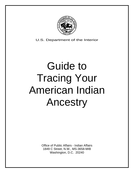

U.S. Department of the Interior

# Guide to Tracing Your American Indian Ancestry

Office of Public Affairs - Indian Affairs 1849 C Street, N.W., MS-3658-MIB Washington, D.C. 20240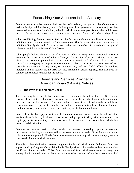# Establishing Your American Indian Ancestry

Some people want to become enrolled members of a federally recognized tribe. Others want to verify a family tradition (belief, fact or fiction, passed from generation to generation) that they descended from an American Indian, either in their distant or near past. While others might want just to learn more about the people they descend from and where they lived.

When establishing descent from an Indian tribe for membership and enrollment purposes, the individual must provide genealogical documentation. The documentation must prove that the individual lineally descends from an ancestor who was a member of the federally recognized tribe from which the individual claims descent.

When people believe they may be of American Indian ancestry, they immediately write or telephone the nearest Bureau of Indian Affairs (BIA) office for information. That is not the best place to start. Many people think that the BIA retrieves genealogical information from a massive national Indian registry or comprehensive computer database. *This is not true.* Most BIA offices, particularly the central (headquarters, Washington, DC) and area (field) offices do not keep individual Indian records and the BIA does not maintain a national registry. The BIA does not conduct genealogical research for the public.

### Benefits and Services Provided to American Indian & Alaska Natives

#### • **The Myth of the Monthly Check**

There has long been a myth that Indians receive a monthly check from the U.S. Government because of their status as Indians. There is no basis for this belief other than misinformation and misconception of the status of American Indians. Some tribes, tribal members and lineal descendants received payments from the Federal Government resulting from claims settlements. But there are very few judgment funds per capita payments that remain today.

Some tribes distribute payments to enrolled members when revenues from the sale of tribal assets such as timber, hydroelectric power or oil and gas permit. Many tribes cannot make per capita payments because they do not have natural resources or other revenue from which they make a fund distribution.

Some tribes have successful businesses that do defense contracting, operate casinos and information technology companies, sell spring water and make candy. If profits warrant it, and tribal members approve it. Funds from those operations can be paid out as monthly, yearly or occasional stipends to tribal members.

There is a clear distinction between judgment funds and tribal funds. Judgment funds are appropriated by Congress after a claim that is filed by tribes or Indian descendant groups against the United States, is settled. Tribal funds are derived from tribal assets (refer to paragraphs above). An individual does not have to be an enrolled member of a tribe to receive a final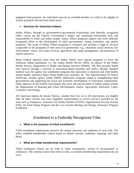judgment fund payment. An individual must be an enrolled member of a tribe to be eligible to receive payments derived from tribal assets.

#### • **Services for American Indians**

Indian Affairs, through its government-to-government relationship with federally recognized tribes, carries out the Federal Government's unique and continuing relationship with, and responsibility to tribes and Indian people. Indian Affairs programs support and assist federally recognized tribes in the development of tribal governments, strong economies, and quality programs. The scope of Indian Affairs programs is extensive and includes a range of services comparable to the programs of state and local government, e.g., education, social services, law enforcement, courts, real estate services, agriculture and range management, and protection of natural resources.

Many Federal agencies other than the Indian Affairs have special programs to serve the American Indian population, i.e., the Indian Health Service (IHS), an adjunct of the Public Health Service, Department of Health and Human Services (DHHS). The IHS provides health care services through a network of reservation-based hospitals and clinics. Besides standard medical care, the agency has established programs that specialize in maternal and child health, mental health, substance abuse, home health care, nutrition, etc. The Administration for Native Americans, another agency within DHHS, administers programs aimed at strengthening tribal governments and supporting the social and economic development of reservation communities. Other agencies of the Federal Government that serve the special needs of Indian people include the Departments of Housing and Urban Development, Justice, Agriculture, Education, Labor, Commerce and Energy.

All American Indians & Alaska Natives, whether they live on or off reservations, are eligible (like all other citizens who meet eligibility requirements) to receive services provided by the state such as Temporary Assistance for Needy Families (TANF), Supplemental Security Income (SSI), the Food Stamp Program and the Low Income Heating and Energy Assistance Program (LIHEAP).

# Enrollment in a Federally Recognized Tribe

#### • **What is the purpose of tribal enrollment?**

Tribal enrollment requirements preserve the unique character and traditions of each tribe. The tribes establish membership criteria based on shared customs, traditions, language and tribal blood.

#### • **What are tribal membership requirements?**

Tribal enrollment criteria are set forth in tribal constitutions, articles of incorporation or ordinances. The criterion varies from tribe to tribe, so uniform membership requirements do not exist.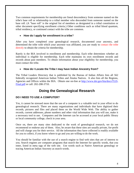Two common requirements for membership are lineal descendency from someone named on the tribe's base roll or relationship to a tribal member who descended from someone named on the base roll. (A "base roll" is the original list of members as designated in a tribal constitution or other document specifying enrollment criteria.) Other conditions such as tribal blood quantum, tribal residency, or continued contact with the tribe are common.

#### • **How do I apply for enrollment in a tribe**?

After you have completed your genealogical research, documented your ancestry, and determined the tribe with which your ancestor was affiliated, you are ready to contact the tribe directly to obtain the criteria for membership.

Rarely is the BIA involved in enrollment and membership. Each tribe determines whether an individual is eligible for membership. Each tribe maintains its own enrollment records and records about past members. To obtain information about your eligibility for membership, you must contact the tribe.

#### • **How do I Locate the Tribe I may have Indian Ancestry from?**

The Tribal Leaders Directory that is published by the Bureau of Indian Affairs lists all 562 federally recognized American Indian Tribes and Alaska Natives. It also lists all the Regions, Agencies and Offices within the BIA. Obtain one on-line at http://www.doi.gov/bia/docs/TLD-Final.pdf or call: 202-208-3710.

# **Doing the Genealogical Research**

#### **DO I NEED TO USE A COMPUTER?**

Yes, it cannot be stressed more that the use of a computer is a valuable tool in your effort to do genealogical research. There are many organizations and individuals that have digitized their records, pictures and files and placed them on the World Wide Web. The ability to gather records, current addresses, phone numbers and other vital information that you will use, make it a necessary tool to use. Computers and the Internet can be accessed at your local public library or local community college, check in your area.

Once on, there are many sites dedicated to the work of genealogical research, we do not recommend or endorse any of them. Also, be aware that these sites are usually private, for-profit and will charge you for their service. All the information they have collected is readily available for you to collect, if you know where to go and you are willing to do the work.

You should be familiar with the use of a search engine to find web sites that are of interest to you. Search engines are computer programs that search the Internet for specific words, that you enter, listed in meta tags of the web site. Use words such as Native American genealogy or tracing American Indian Ancestry as search words.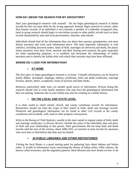#### **HOW DO I BEGIN THE SEARCH FOR MY ANCESTORS?**

 Start your genealogical research with yourself. Do not begin genealogical research in Indian records for this can most often be the wrong approach. Instead, begin research in current, rather than historic records. If an individual is not currently a member of a federally recognized tribe, band or group research should begin in non-Indian records or other public records such as those records maintained by state and local governments, churches, and schools.

Individuals should find all the information they can about their parents, grandparents, and more distant ancestors and write such information down. The most important information is vital statistics, including ancestral names, dates of birth, marriages (or divorces) and death, the places where ancestors were born, lived, married, and died. During such research, the goal, especially for tribal membership purposes, is to establish and document the relationships of Indian ancestors and to identify the Indian tribe with which their ancestor may have been affiliated.

#### **WHERE DO I LOOK FOR INFORMATION?**

#### • **AT HOME**

The first place to begin genealogical research is at home. Valuable information can be found in family Bibles, newspaper clippings, military certificates, birth and death certificates, marriage licenses, diaries, letters, scrapbooks, backs of pictures and baby books.

Relatives, particularly older ones, are another good source of information. Persons doing this research should visit or write family members who may have the genealogical information that they are seeking. Someone else in your family may also be working on a family history.

#### • **ON THE LOCAL AND STATE LEVEL**

It is often useful to check school, church, and county courthouse records for information. Researchers should not limit the scope of their search to birth, death and marriage records. Historical and genealogical information can be found in other civil records at the county courthouse such as deeds, wills, land or other property conveyances.

Write to the Bureau of Vital Statistics, usually in the state capital to request copies of birth, death and marriage certificates, or divorce decrees. Include the name of the individual, date and place of birth and your relationship to that person. State governments did not keep birth and death records until the turn of the century, about 1890-1915, so searches in state records for ancestors who were born or died before that time may be limited.

#### • **IN PUBLIC LIBRARIES AND OTHER REPOSITORIES**

Visiting the local library is a good starting point for gathering facts about Indians and Indian tribes. A wealth of information exists concerning the history of Indian tribes, tribal cultures, the historic tribal territories, and the migration patterns. Most libraries also have books on how to do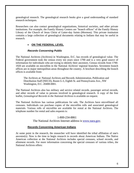genealogical research. The genealogical research books give a good understanding of standard research techniques.

Researchers can also contact genealogical organizations, historical societies, and other private institutions. For example, the Family History Centers are "branch offices" of the Family History Library of the Church of Jesus Christ of Latter-day Saints (Mormon). This private institution contains a large collection of genealogical documents relating to Indians that may be useful in research.

#### • **ON THE FEDERAL LEVEL**

#### *Records Concerning Public*

The National Archives (Archives) in Washington, D.C. has records of genealogical value. The Federal government took the census every ten years since 1790 and is a very good source of information for individuals who are trying to identify their ancestors. Census records from 1790- 1920 are available on microfilm in the National Archives' regional branches. Seventeen branch offices are in major metropolitan areas throughout the country. A brochure describing the branch offices is available from:

The Archives at: National Archives and Records Administration, Publication and Distribution Staff (NECD), Room G-3, Eighth St. and Pennsylvania Ave., NW Washington, D.C. 20408-0001.

The National Archives also has military and service related records, passenger arrival records, and other records of value to persons involved in genealogical research. A copy of the free leaflet, *Genealogical Records in the National Archives* is available on request.

The National Archives has various publications for sale. The Archives have microfilmed all censuses. Individuals can purchase copies of the microfilm rolls and associated genealogical materials. Various rolls of microfilm are available for rental at the National Archives. The telephone number for rental and sales requests is:

#### 1-800-234-8861

The National Archives Internet address is www.nara.gov.

#### **Records Concerning American Indians**

At some point in the research, the researcher will have identified the tribal affiliation of one's ancestor(s). Now is the time to begin research in records about American Indians. The Native American collection at the National Archives includes special censuses, school records, and allotment records. For more information concerning the special censuses of various tribes, the National Archives offers: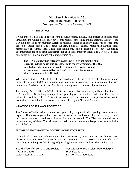Microfilm Publication M1791 American Indian Censuses *The Special Census of Indians, 1880.* 

#### • **BIA Offices**

If your ancestors had land in trust or went through probate, the BIA field offices in selected areas throughout the United States may have some records concerning Indian ancestry. However, the BIA field offices do not maintain current or historic records of all individuals who possess some degree of Indian blood. The records the BIA holds are current rather than historic tribal membership enrollment lists. These lists (commonly called "rolls") do not have supporting documentation (such as birth certificates) for each tribal member listed. The BIA created these rolls while the BIA maintained tribal membership rolls.

 **otherwise requested by the tribe. The BIA no longer has extensive involvement in tribal membership. Current Federal policy and case law limits the involvement of the BIA in tribal membership matters unless mandated by congressional legislation, or is required by the tribe's governing document or** 

When you contact a BIA field office, be prepared to give the name of the tribe, the name(s) and birth dates of ancestor(s), and relationships. You must provide specific information otherwise field offices (and other institutions) probably cannot provide much useful information.

The Privacy Act, 5 U.S.C. §552(a) protects the current tribal membership rolls and lists that the BIA maintains. Submitting a request for genealogical information under the Freedom of Information Act, 5 U.S.C. §552, is not necessary for records compiled and published by private institutions or available in census records declassified by the National Archives.

#### **WHAT DO I DO IF I WAS ADOPTED?**

The Bureau of Indian Affairs cannot help you with your pursuit with opening sealed adoption papers. There are organizations that can be found on the Internet that can assist you with information on what procedures or information may be needed. The BIA does not endorse or recommend any of them. You will need to obtain legal advice from a lawyer that deals with this area of the law.

#### **IF YOU DO NOT WANT TO DO THE WORK YOURSELF**

If an individual does not wish to conduct their own research, researchers are available for a fee. Please write to the Board of Certification of Genealogists or the Association of Professional Genealogists and request their listings of genealogical researchers for hire. Their addresses are:

Board of Certification of Genealogists P.O. Box 14291

Board of Certification of Genealogists Association of Professional Genealogists<br>P.O. Box 14291 P.O. Box 40393<br>Washington, D.C. 20044 Denver, Colorado 80204 P.O. Box 40393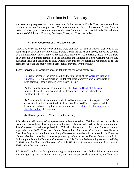## Cherokee Indian Ancestry

We have many requests on how to trace your Indian ancestry if it is Cherokee that we have provided a section for that purpose. The information on How to Locate the Dawes Rolls is useful to those trying to locate an ancestor that was from one of the five-civilized-tribes which is made up of Chickasaw, Choctaw, Seminole, Creek, and Cherokee Indians.

#### • **Brief Overview of Cherokee History**

About 200 years ago the Cherokee Indians were one tribe, or "Indian Nation" that lived in the southeast part of what is now the United States. During the 1830's and 1840's, the period covered by the Indian Removal Act, many Cherokees were moved west to a territory that is now the State of Oklahoma. A number remained in the southeast and gathered in North Carolina where they purchased land and continued to live. Others went into the Appalachian Mountains to escape being moved west and many of their descendants may still live there now.

Today, individuals of Cherokee ancestry fall into the following categories:

 $T(1)$  Living persons who were listed on the final rolls of the Cherokee Nation of Oklahoma (Dawes Commission Rolls) that were approved and descendants of these persons. These final rolls were closed in 1907.

(2) Individuals enrolled as members of the Eastern Band of Cherokee Indians of North Carolina and their descendants who are eligible for enrollment with the Band.

(3) Persons on the list of members identified by a resolution dated April 19, 1949, and certified by the Superintendent of the Five Civilized Tribes Agency and their descendants who are eligible for enrollment with the United Keetoowah Band of Cherokee Indian of Oklahoma.

(4) All other persons of Cherokee Indian ancestry.

After about a half century of self-government, a law enacted in 1906 directed that final rolls be made and that each enrollee be given an allotment of land or paid cash in lieu of an allotment. The Cherokees formally organized in 1975 with the adoption of a new Constitution that superseded the 1839 Cherokee Nation Constitution. This new Constitution establishes a Cherokee Register for the inclusion of any Cherokee for membership purposes in the Cherokee Nation. Members must be citizens as proven by reference to the Dawes Commission Rolls. Including in this are the Delaware Cherokees of Article II of the Delaware Agreement dated May 8, 1867, and the Shawnee Cherokees of Article III of the Shawnee Agreement dated June 9, 1869, and/or their descendants.

P.L. 100-472, authorizes through a planning and negotiation process Indian Tribes to administer and manage programs, activities, function, and services previously managed by the Bureau of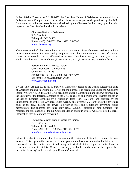Indian Affairs. Pursuant to P.L. 100-472 the Cherokee Nation of Oklahoma has entered into a Self-governance Compact and now provides those services previously provided by the BIA. Enrollment and allotment records are maintained by the Cherokee Nation. Any question with regard to the Cherokee Nation should be referred to:

> www.cherokee.org Cherokee Nation of Oklahoma P.O. Box 948 Tahlequah, OK 74465 Phone: (918) 456-0671; Fax: (918) 458-5580

The Eastern Band of Cherokee Indians of North Carolina is a federally recognized tribe and has its own requirements for membership. Inquiries as to these requirements or for information shown in the records may be addressed to the BIA Cherokee Agency, 441 North, 257 Tsali Blvd., Cherokee, NC 28719, Phone: (828) 497-9131, Fax: (828) 497-6715, or to the tribe at:

> www.cherokee-nc.com Eastern Band of Cherokee Indians Qualla Boundary, P.O. Box 455 Cherokee, NC 28719 Phone: (828) 497-2771; Fax: (828) 497-7007 ask for the Tribal Enrollment Office

By the Act of August 10, 1946, 60 Stat. 976, Congress recognized the United Keetoowah Band of Cherokee Indians in Oklahoma (UKB) for the purposes of organizing under the Oklahoma Indian Welfare Act. In 1950, the UKB organized under a Constitution and Bylaws approved by the Secretary of the Interior. Members of the UKB consist of all persons whose names appear on the list of members identified by a resolution dated April 19, 1949, and certified by the Superintendent of the Five Civilized Tribes Agency on November 26, 1949, with the governing body of the UKB having the power to prescribe rules and regulations governing future membership. The supreme governing body (UKB Council) consists of nine members who represent the nine districts of the old Cherokee Nation and four officers who are elected at-large. Information may be obtained by writing:

> http://www.unitedkeetoowahband.org United Keetoowah Band of Cherokee Indians P.O. Box 746 Tahlequah, OK 74465 Phone: (918) 431-1818; Fax: (918) 431-1873

Information about Indian ancestry of individuals in this category of Cherokees is more difficult to locate. This is primarily because the federal government has never maintained a list of all the persons of Cherokee Indian descent, indicating their tribal affiliation, degree of Indian blood or other data. In order to establish Cherokee ancestry you should use the same methods prescribed in "Indian Ancestry" and "Genealogical Research" material.